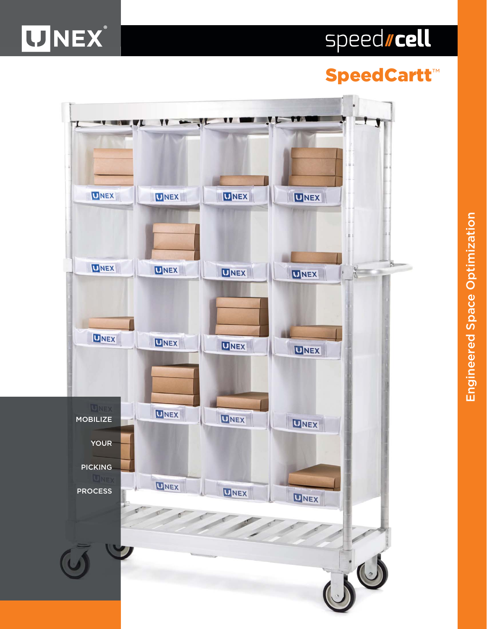# speedscell

# **UNEX**

## SpeedCartt ™